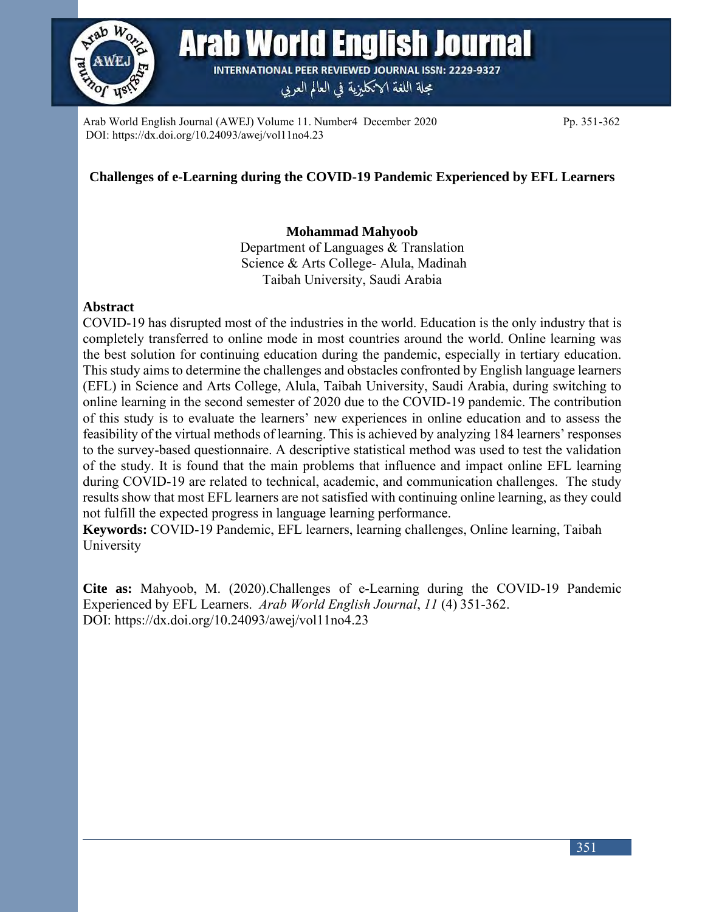

Arab World English Journal (AWEJ) Volume 11. Number4 December 2020 Pp. 351-362 DOI: https://dx.doi.org/10.24093/awej/vol11no4.23

## **Challenges of e-Learning during the COVID-19 Pandemic Experienced by EFL Learners**

## **Mohammad Mahyoob**

Department of Languages & Translation Science & Arts College- Alula, Madinah Taibah University, Saudi Arabia

### **Abstract**

COVID-19 has disrupted most of the industries in the world. Education is the only industry that is completely transferred to online mode in most countries around the world. Online learning was the best solution for continuing education during the pandemic, especially in tertiary education. This study aims to determine the challenges and obstacles confronted by English language learners (EFL) in Science and Arts College, Alula, Taibah University, Saudi Arabia, during switching to online learning in the second semester of 2020 due to the COVID-19 pandemic. The contribution of this study is to evaluate the learners' new experiences in online education and to assess the feasibility of the virtual methods of learning. This is achieved by analyzing 184 learners' responses to the survey-based questionnaire. A descriptive statistical method was used to test the validation of the study. It is found that the main problems that influence and impact online EFL learning during COVID-19 are related to technical, academic, and communication challenges. The study results show that most EFL learners are not satisfied with continuing online learning, as they could not fulfill the expected progress in language learning performance.

**Keywords:** COVID-19 Pandemic, EFL learners, learning challenges, Online learning, Taibah University

**Cite as:** Mahyoob, M. (2020).Challenges of e-Learning during the COVID-19 Pandemic Experienced by EFL Learners. *Arab World English Journal*, *11* (4) 351-362. DOI: [https://dx.doi.org/10.24093/awej/vol11no4.](https://dx.doi.org/10.24093/awej/vol11no4)23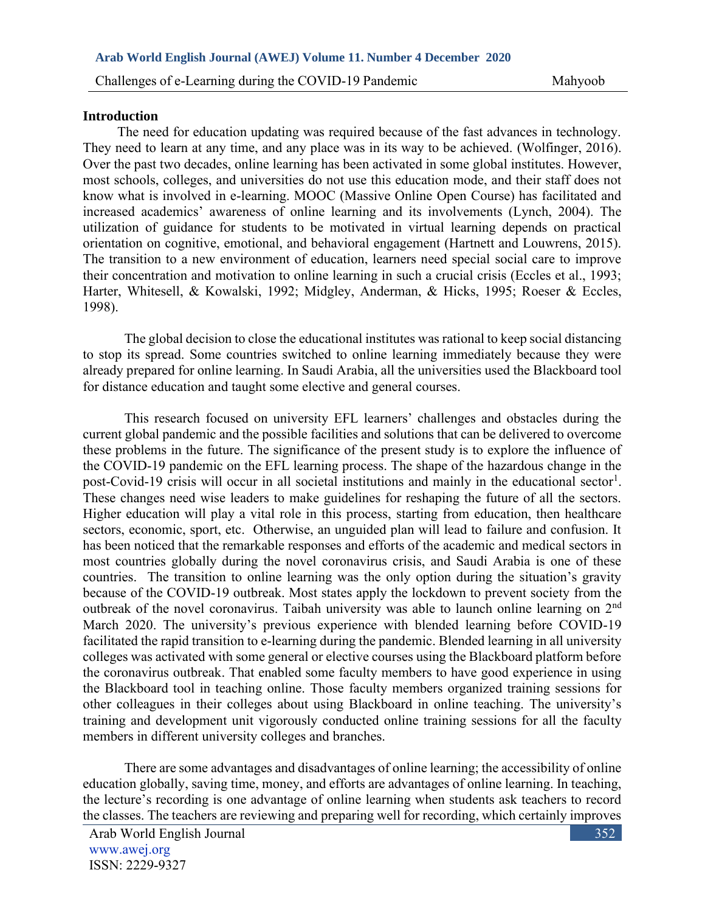### **Introduction**

 The need for education updating was required because of the fast advances in technology. They need to learn at any time, and any place was in its way to be achieved. (Wolfinger, 2016). Over the past two decades, online learning has been activated in some global institutes. However, most schools, colleges, and universities do not use this education mode, and their staff does not know what is involved in e-learning. MOOC (Massive Online Open Course) has facilitated and increased academics' awareness of online learning and its involvements (Lynch, 2004). The utilization of guidance for students to be motivated in virtual learning depends on practical orientation on cognitive, emotional, and behavioral engagement (Hartnett and Louwrens, 2015). The transition to a new environment of education, learners need special social care to improve their concentration and motivation to online learning in such a crucial crisis (Eccles et al., 1993; Harter, Whitesell, & Kowalski, 1992; Midgley, Anderman, & Hicks, 1995; Roeser & Eccles, 1998).

The global decision to close the educational institutes was rational to keep social distancing to stop its spread. Some countries switched to online learning immediately because they were already prepared for online learning. In Saudi Arabia, all the universities used the Blackboard tool for distance education and taught some elective and general courses.

This research focused on university EFL learners' challenges and obstacles during the current global pandemic and the possible facilities and solutions that can be delivered to overcome these problems in the future. The significance of the present study is to explore the influence of the COVID-19 pandemic on the EFL learning process. The shape of the hazardous change in the post-Covid-19 crisis will occur in all societal institutions and mainly in the educational sector<sup>1</sup>. These changes need wise leaders to make guidelines for reshaping the future of all the sectors. Higher education will play a vital role in this process, starting from education, then healthcare sectors, economic, sport, etc. Otherwise, an unguided plan will lead to failure and confusion. It has been noticed that the remarkable responses and efforts of the academic and medical sectors in most countries globally during the novel coronavirus crisis, and Saudi Arabia is one of these countries. The transition to online learning was the only option during the situation's gravity because of the COVID-19 outbreak. Most states apply the lockdown to prevent society from the outbreak of the novel coronavirus. Taibah university was able to launch online learning on 2nd March 2020. The university's previous experience with blended learning before COVID-19 facilitated the rapid transition to e-learning during the pandemic. Blended learning in all university colleges was activated with some general or elective courses using the Blackboard platform before the coronavirus outbreak. That enabled some faculty members to have good experience in using the Blackboard tool in teaching online. Those faculty members organized training sessions for other colleagues in their colleges about using Blackboard in online teaching. The university's training and development unit vigorously conducted online training sessions for all the faculty members in different university colleges and branches.

There are some advantages and disadvantages of online learning; the accessibility of online education globally, saving time, money, and efforts are advantages of online learning. In teaching, the lecture's recording is one advantage of online learning when students ask teachers to record the classes. The teachers are reviewing and preparing well for recording, which certainly improves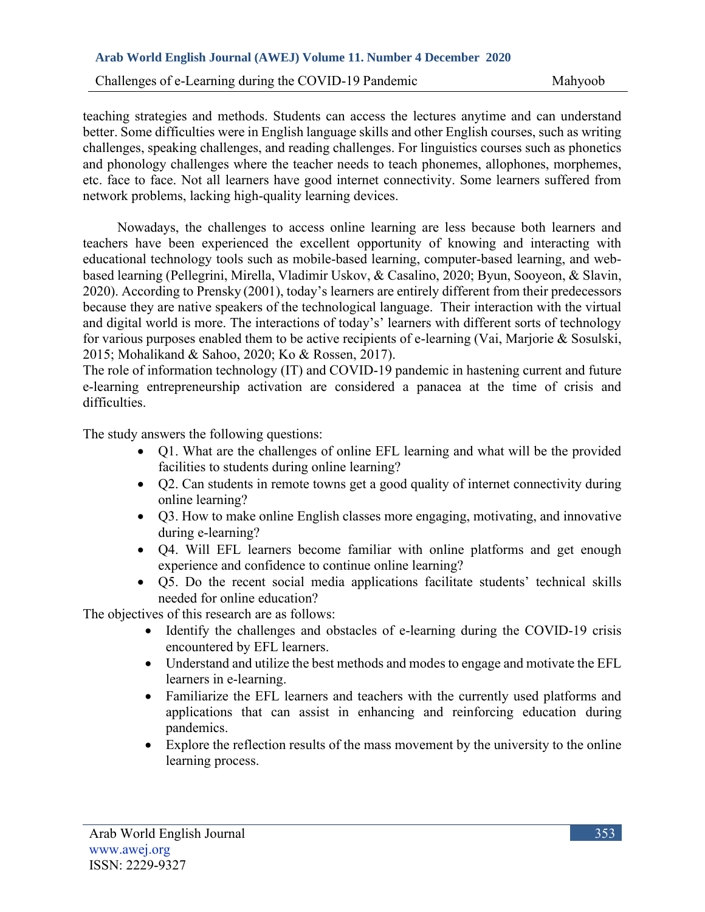Challenges of e-Learning during the COVID-19 Pandemic Mahyoob

teaching strategies and methods. Students can access the lectures anytime and can understand better. Some difficulties were in English language skills and other English courses, such as writing challenges, speaking challenges, and reading challenges. For linguistics courses such as phonetics and phonology challenges where the teacher needs to teach phonemes, allophones, morphemes, etc. face to face. Not all learners have good internet connectivity. Some learners suffered from network problems, lacking high-quality learning devices.

 Nowadays, the challenges to access online learning are less because both learners and teachers have been experienced the excellent opportunity of knowing and interacting with educational technology tools such as mobile-based learning, computer-based learning, and webbased learning (Pellegrini, Mirella, Vladimir Uskov, & Casalino, 2020; Byun, Sooyeon, & Slavin, 2020). According to Prensky (2001), today's learners are entirely different from their predecessors because they are native speakers of the technological language. Their interaction with the virtual and digital world is more. The interactions of today's' learners with different sorts of technology for various purposes enabled them to be active recipients of e-learning (Vai, Marjorie & Sosulski, 2015; Mohalikand & Sahoo, 2020; Ko & Rossen, 2017).

The role of information technology (IT) and COVID-19 pandemic in hastening current and future e-learning entrepreneurship activation are considered a panacea at the time of crisis and difficulties.

The study answers the following questions:

- Q1. What are the challenges of online EFL learning and what will be the provided facilities to students during online learning?
- Q2. Can students in remote towns get a good quality of internet connectivity during online learning?
- Q3. How to make online English classes more engaging, motivating, and innovative during e-learning?
- Q4. Will EFL learners become familiar with online platforms and get enough experience and confidence to continue online learning?
- Q5. Do the recent social media applications facilitate students' technical skills needed for online education?

The objectives of this research are as follows:

- Identify the challenges and obstacles of e-learning during the COVID-19 crisis encountered by EFL learners.
- Understand and utilize the best methods and modes to engage and motivate the EFL learners in e-learning.
- Familiarize the EFL learners and teachers with the currently used platforms and applications that can assist in enhancing and reinforcing education during pandemics.
- Explore the reflection results of the mass movement by the university to the online learning process.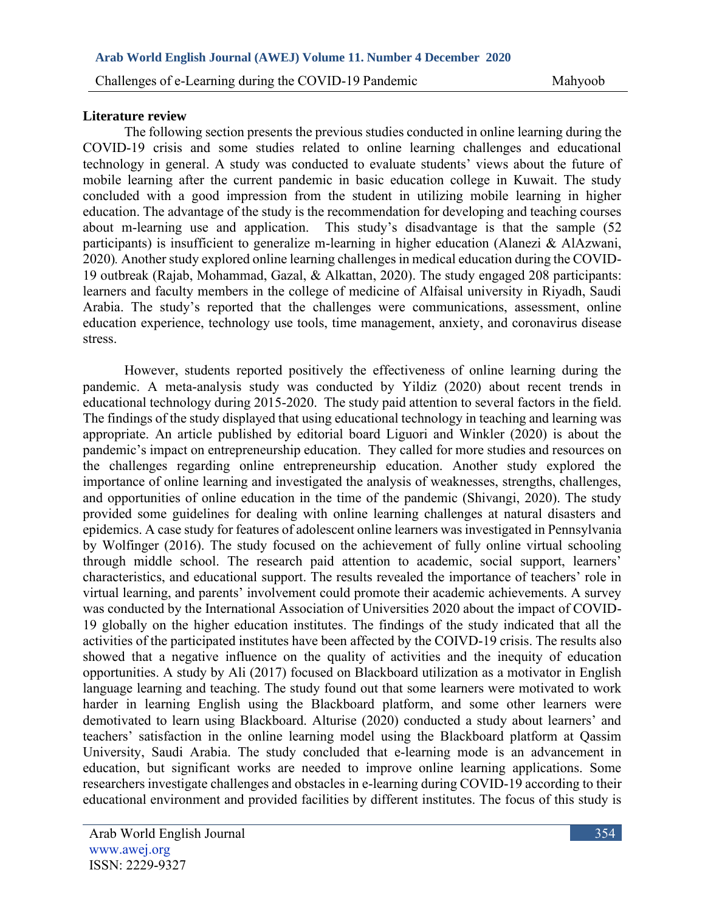### **Literature review**

The following section presents the previous studies conducted in online learning during the COVID-19 crisis and some studies related to online learning challenges and educational technology in general. A study was conducted to evaluate students' views about the future of mobile learning after the current pandemic in basic education college in Kuwait. The study concluded with a good impression from the student in utilizing mobile learning in higher education. The advantage of the study is the recommendation for developing and teaching courses about m-learning use and application. This study's disadvantage is that the sample (52 participants) is insufficient to generalize m-learning in higher education (Alanezi & AlAzwani, 2020)*.* Another study explored online learning challenges in medical education during the COVID-19 outbreak (Rajab, Mohammad, Gazal, & Alkattan, 2020). The study engaged 208 participants: learners and faculty members in the college of medicine of Alfaisal university in Riyadh, Saudi Arabia. The study's reported that the challenges were communications, assessment, online education experience, technology use tools, time management, anxiety, and coronavirus disease stress.

However, students reported positively the effectiveness of online learning during the pandemic. A meta-analysis study was conducted by Yildiz (2020) about recent trends in educational technology during 2015-2020. The study paid attention to several factors in the field. The findings of the study displayed that using educational technology in teaching and learning was appropriate. An article published by editorial board Liguori and Winkler (2020) is about the pandemic's impact on entrepreneurship education. They called for more studies and resources on the challenges regarding online entrepreneurship education. Another study explored the importance of online learning and investigated the analysis of weaknesses, strengths, challenges, and opportunities of online education in the time of the pandemic (Shivangi, 2020). The study provided some guidelines for dealing with online learning challenges at natural disasters and epidemics. A case study for features of adolescent online learners was investigated in Pennsylvania by Wolfinger (2016). The study focused on the achievement of fully online virtual schooling through middle school. The research paid attention to academic, social support, learners' characteristics, and educational support. The results revealed the importance of teachers' role in virtual learning, and parents' involvement could promote their academic achievements. A survey was conducted by the International Association of Universities 2020 about the impact of COVID-19 globally on the higher education institutes. The findings of the study indicated that all the activities of the participated institutes have been affected by the COIVD-19 crisis. The results also showed that a negative influence on the quality of activities and the inequity of education opportunities. A study by Ali (2017) focused on Blackboard utilization as a motivator in English language learning and teaching. The study found out that some learners were motivated to work harder in learning English using the Blackboard platform, and some other learners were demotivated to learn using Blackboard. Alturise (2020) conducted a study about learners' and teachers' satisfaction in the online learning model using the Blackboard platform at Qassim University, Saudi Arabia. The study concluded that e-learning mode is an advancement in education, but significant works are needed to improve online learning applications. Some researchers investigate challenges and obstacles in e-learning during COVID-19 according to their educational environment and provided facilities by different institutes. The focus of this study is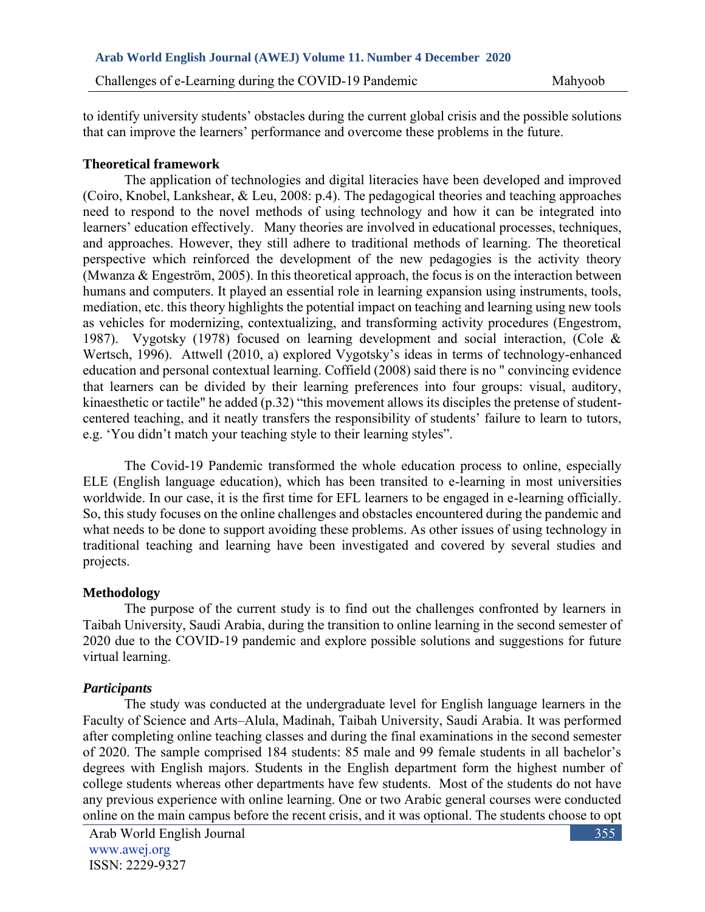to identify university students' obstacles during the current global crisis and the possible solutions that can improve the learners' performance and overcome these problems in the future.

## **Theoretical framework**

The application of technologies and digital literacies have been developed and improved (Coiro, Knobel, Lankshear, & Leu, 2008: p.4). The pedagogical theories and teaching approaches need to respond to the novel methods of using technology and how it can be integrated into learners' education effectively. Many theories are involved in educational processes, techniques, and approaches. However, they still adhere to traditional methods of learning. The theoretical perspective which reinforced the development of the new pedagogies is the activity theory (Mwanza & Engeström, 2005). In this theoretical approach, the focus is on the interaction between humans and computers. It played an essential role in learning expansion using instruments, tools, mediation, etc. this theory highlights the potential impact on teaching and learning using new tools as vehicles for modernizing, contextualizing, and transforming activity procedures (Engestrom, 1987). Vygotsky (1978) focused on learning development and social interaction, (Cole & Wertsch, 1996). Attwell (2010, a) explored Vygotsky's ideas in terms of technology-enhanced education and personal contextual learning. Coffield (2008) said there is no " convincing evidence that learners can be divided by their learning preferences into four groups: visual, auditory, kinaesthetic or tactile" he added (p.32) "this movement allows its disciples the pretense of studentcentered teaching, and it neatly transfers the responsibility of students' failure to learn to tutors, e.g. 'You didn't match your teaching style to their learning styles".

The Covid-19 Pandemic transformed the whole education process to online, especially ELE (English language education), which has been transited to e-learning in most universities worldwide. In our case, it is the first time for EFL learners to be engaged in e-learning officially. So, this study focuses on the online challenges and obstacles encountered during the pandemic and what needs to be done to support avoiding these problems. As other issues of using technology in traditional teaching and learning have been investigated and covered by several studies and projects.

## **Methodology**

The purpose of the current study is to find out the challenges confronted by learners in Taibah University, Saudi Arabia, during the transition to online learning in the second semester of 2020 due to the COVID-19 pandemic and explore possible solutions and suggestions for future virtual learning.

## *Participants*

The study was conducted at the undergraduate level for English language learners in the Faculty of Science and Arts–Alula, Madinah, Taibah University, Saudi Arabia. It was performed after completing online teaching classes and during the final examinations in the second semester of 2020. The sample comprised 184 students: 85 male and 99 female students in all bachelor's degrees with English majors. Students in the English department form the highest number of college students whereas other departments have few students. Most of the students do not have any previous experience with online learning. One or two Arabic general courses were conducted online on the main campus before the recent crisis, and it was optional. The students choose to opt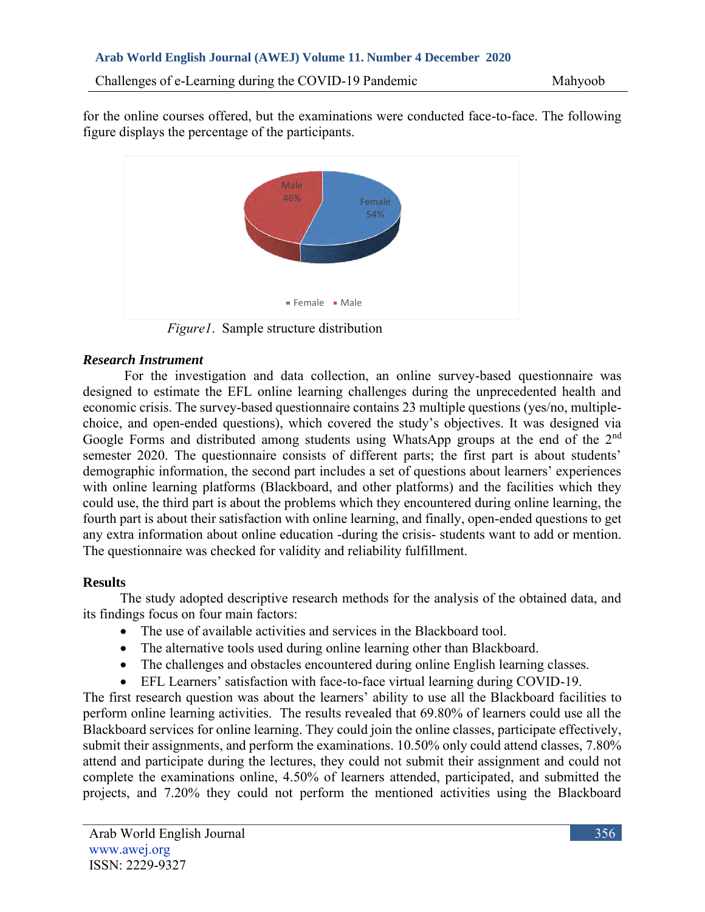for the online courses offered, but the examinations were conducted face-to-face. The following figure displays the percentage of the participants.



 *Figure1*. Sample structure distribution

## *Research Instrument*

For the investigation and data collection, an online survey-based questionnaire was designed to estimate the EFL online learning challenges during the unprecedented health and economic crisis. The survey-based questionnaire contains 23 multiple questions (yes/no, multiplechoice, and open-ended questions), which covered the study's objectives. It was designed via Google Forms and distributed among students using WhatsApp groups at the end of the 2<sup>nd</sup> semester 2020. The questionnaire consists of different parts; the first part is about students' demographic information, the second part includes a set of questions about learners' experiences with online learning platforms (Blackboard, and other platforms) and the facilities which they could use, the third part is about the problems which they encountered during online learning, the fourth part is about their satisfaction with online learning, and finally, open-ended questions to get any extra information about online education -during the crisis- students want to add or mention. The questionnaire was checked for validity and reliability fulfillment.

# **Results**

The study adopted descriptive research methods for the analysis of the obtained data, and its findings focus on four main factors:

- The use of available activities and services in the Blackboard tool.
- The alternative tools used during online learning other than Blackboard.
- The challenges and obstacles encountered during online English learning classes.
- EFL Learners' satisfaction with face-to-face virtual learning during COVID-19.

The first research question was about the learners' ability to use all the Blackboard facilities to perform online learning activities. The results revealed that 69.80% of learners could use all the Blackboard services for online learning. They could join the online classes, participate effectively, submit their assignments, and perform the examinations. 10.50% only could attend classes, 7.80% attend and participate during the lectures, they could not submit their assignment and could not complete the examinations online, 4.50% of learners attended, participated, and submitted the projects, and 7.20% they could not perform the mentioned activities using the Blackboard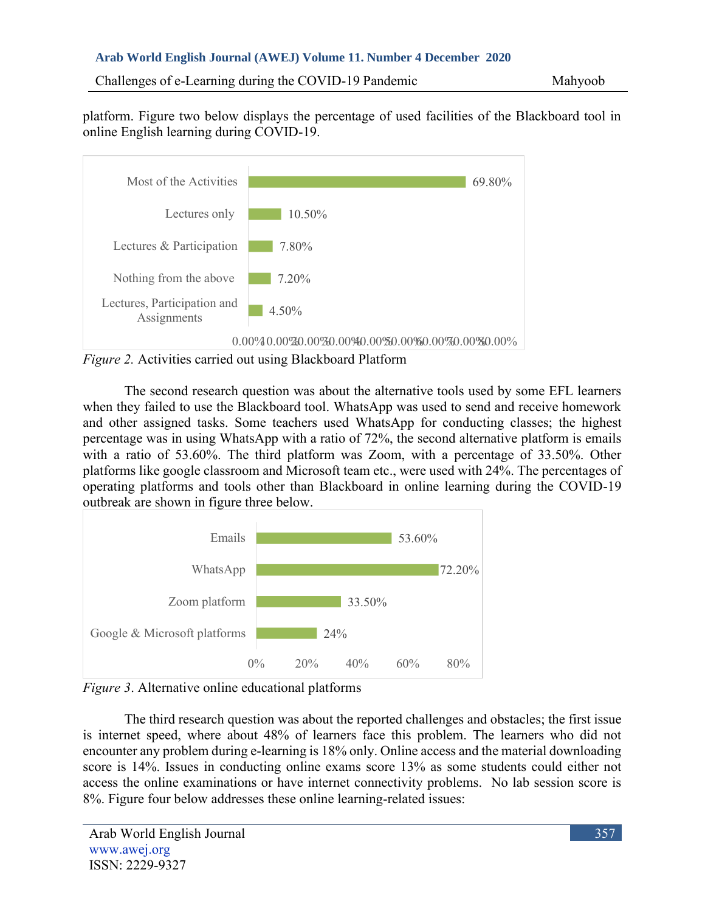Challenges of e-Learning during the COVID-19 Pandemic Mahyoob

platform. Figure two below displays the percentage of used facilities of the Blackboard tool in online English learning during COVID-19.



*Figure 2.* Activities carried out using Blackboard Platform

The second research question was about the alternative tools used by some EFL learners when they failed to use the Blackboard tool. WhatsApp was used to send and receive homework and other assigned tasks. Some teachers used WhatsApp for conducting classes; the highest percentage was in using WhatsApp with a ratio of 72%, the second alternative platform is emails with a ratio of 53.60%. The third platform was Zoom, with a percentage of 33.50%. Other platforms like google classroom and Microsoft team etc., were used with 24%. The percentages of operating platforms and tools other than Blackboard in online learning during the COVID-19 outbreak are shown in figure three below.



*Figure 3*. Alternative online educational platforms

The third research question was about the reported challenges and obstacles; the first issue is internet speed, where about 48% of learners face this problem. The learners who did not encounter any problem during e-learning is 18% only. Online access and the material downloading score is 14%. Issues in conducting online exams score 13% as some students could either not access the online examinations or have internet connectivity problems. No lab session score is 8%. Figure four below addresses these online learning-related issues: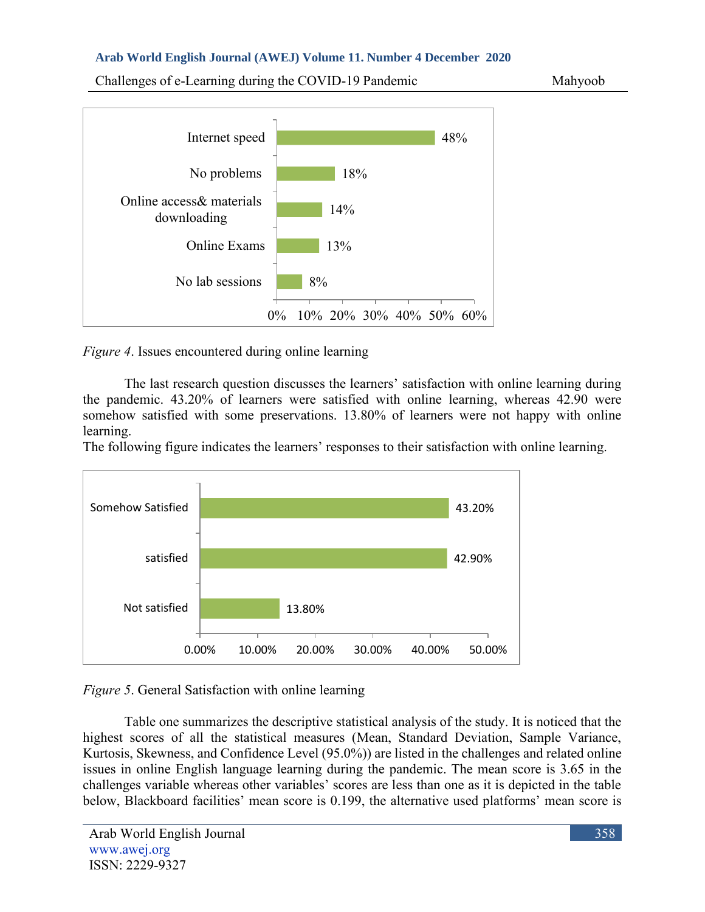Challenges of e-Learning during the COVID-19 Pandemic Mahyoob





*Figure 4*. Issues encountered during online learning

The last research question discusses the learners' satisfaction with online learning during the pandemic. 43.20% of learners were satisfied with online learning, whereas 42.90 were somehow satisfied with some preservations. 13.80% of learners were not happy with online learning.

The following figure indicates the learners' responses to their satisfaction with online learning.



*Figure 5*. General Satisfaction with online learning

Table one summarizes the descriptive statistical analysis of the study. It is noticed that the highest scores of all the statistical measures (Mean, Standard Deviation, Sample Variance, Kurtosis, Skewness, and Confidence Level (95.0%)) are listed in the challenges and related online issues in online English language learning during the pandemic. The mean score is 3.65 in the challenges variable whereas other variables' scores are less than one as it is depicted in the table below, Blackboard facilities' mean score is 0.199, the alternative used platforms' mean score is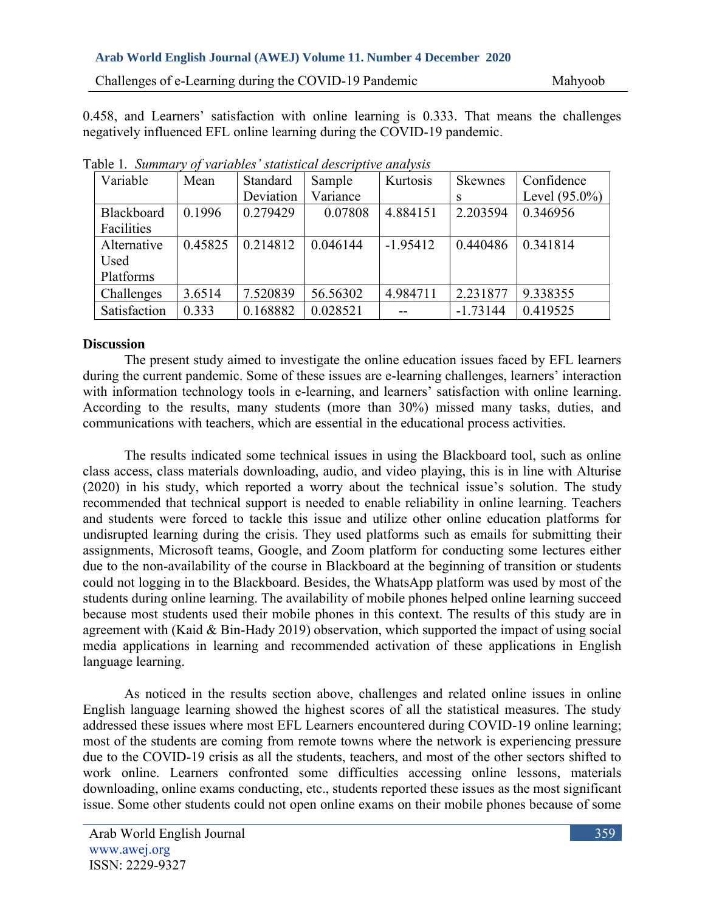0.458, and Learners' satisfaction with online learning is 0.333. That means the challenges negatively influenced EFL online learning during the COVID-19 pandemic.

| Variable     | Mean    | Standard  | Sample   | Kurtosis   | Skewnes    | Confidence       |
|--------------|---------|-----------|----------|------------|------------|------------------|
|              |         | Deviation | Variance |            |            | Level $(95.0\%)$ |
| Blackboard   | 0.1996  | 0.279429  | 0.07808  | 4.884151   | 2.203594   | 0.346956         |
| Facilities   |         |           |          |            |            |                  |
| Alternative  | 0.45825 | 0.214812  | 0.046144 | $-1.95412$ | 0.440486   | 0.341814         |
| Used         |         |           |          |            |            |                  |
| Platforms    |         |           |          |            |            |                  |
| Challenges   | 3.6514  | 7.520839  | 56.56302 | 4.984711   | 2.231877   | 9.338355         |
| Satisfaction | 0.333   | 0.168882  | 0.028521 |            | $-1.73144$ | 0.419525         |

Table 1*. Summary of variables' statistical descriptive analysis*

## **Discussion**

The present study aimed to investigate the online education issues faced by EFL learners during the current pandemic. Some of these issues are e-learning challenges, learners' interaction with information technology tools in e-learning, and learners' satisfaction with online learning. According to the results, many students (more than 30%) missed many tasks, duties, and communications with teachers, which are essential in the educational process activities.

The results indicated some technical issues in using the Blackboard tool, such as online class access, class materials downloading, audio, and video playing, this is in line with Alturise (2020) in his study, which reported a worry about the technical issue's solution. The study recommended that technical support is needed to enable reliability in online learning. Teachers and students were forced to tackle this issue and utilize other online education platforms for undisrupted learning during the crisis. They used platforms such as emails for submitting their assignments, Microsoft teams, Google, and Zoom platform for conducting some lectures either due to the non-availability of the course in Blackboard at the beginning of transition or students could not logging in to the Blackboard. Besides, the WhatsApp platform was used by most of the students during online learning. The availability of mobile phones helped online learning succeed because most students used their mobile phones in this context. The results of this study are in agreement with (Kaid & Bin-Hady 2019) observation, which supported the impact of using social media applications in learning and recommended activation of these applications in English language learning.

As noticed in the results section above, challenges and related online issues in online English language learning showed the highest scores of all the statistical measures. The study addressed these issues where most EFL Learners encountered during COVID-19 online learning; most of the students are coming from remote towns where the network is experiencing pressure due to the COVID-19 crisis as all the students, teachers, and most of the other sectors shifted to work online. Learners confronted some difficulties accessing online lessons, materials downloading, online exams conducting, etc., students reported these issues as the most significant issue. Some other students could not open online exams on their mobile phones because of some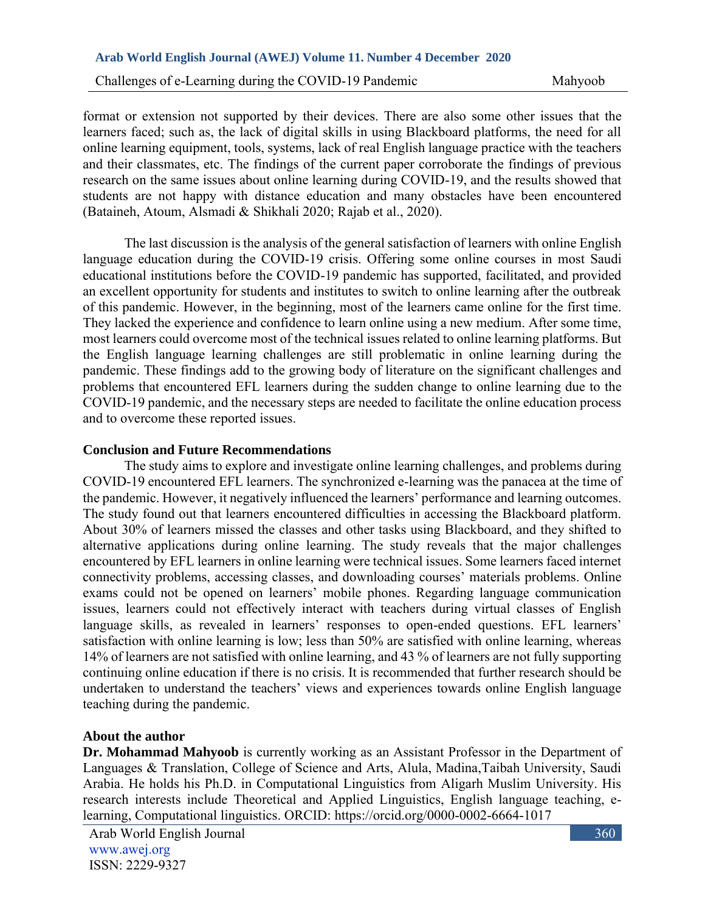Challenges of e-Learning during the COVID-19 Pandemic Mahyoob

format or extension not supported by their devices. There are also some other issues that the learners faced; such as, the lack of digital skills in using Blackboard platforms, the need for all online learning equipment, tools, systems, lack of real English language practice with the teachers and their classmates, etc. The findings of the current paper corroborate the findings of previous research on the same issues about online learning during COVID-19, and the results showed that students are not happy with distance education and many obstacles have been encountered (Bataineh, Atoum, Alsmadi & Shikhali 2020; Rajab et al., 2020).

The last discussion is the analysis of the general satisfaction of learners with online English language education during the COVID-19 crisis. Offering some online courses in most Saudi educational institutions before the COVID-19 pandemic has supported, facilitated, and provided an excellent opportunity for students and institutes to switch to online learning after the outbreak of this pandemic. However, in the beginning, most of the learners came online for the first time. They lacked the experience and confidence to learn online using a new medium. After some time, most learners could overcome most of the technical issues related to online learning platforms. But the English language learning challenges are still problematic in online learning during the pandemic. These findings add to the growing body of literature on the significant challenges and problems that encountered EFL learners during the sudden change to online learning due to the COVID-19 pandemic, and the necessary steps are needed to facilitate the online education process and to overcome these reported issues.

### **Conclusion and Future Recommendations**

The study aims to explore and investigate online learning challenges, and problems during COVID-19 encountered EFL learners. The synchronized e-learning was the panacea at the time of the pandemic. However, it negatively influenced the learners' performance and learning outcomes. The study found out that learners encountered difficulties in accessing the Blackboard platform. About 30% of learners missed the classes and other tasks using Blackboard, and they shifted to alternative applications during online learning. The study reveals that the major challenges encountered by EFL learners in online learning were technical issues. Some learners faced internet connectivity problems, accessing classes, and downloading courses' materials problems. Online exams could not be opened on learners' mobile phones. Regarding language communication issues, learners could not effectively interact with teachers during virtual classes of English language skills, as revealed in learners' responses to open-ended questions. EFL learners' satisfaction with online learning is low; less than 50% are satisfied with online learning, whereas 14% of learners are not satisfied with online learning, and 43 % of learners are not fully supporting continuing online education if there is no crisis. It is recommended that further research should be undertaken to understand the teachers' views and experiences towards online English language teaching during the pandemic.

### **About the author**

**Dr. Mohammad Mahyoob** is currently working as an Assistant Professor in the Department of Languages & Translation, College of Science and Arts, Alula, Madina,Taibah University, Saudi Arabia. He holds his Ph.D. in Computational Linguistics from Aligarh Muslim University. His research interests include Theoretical and Applied Linguistics, English language teaching, elearning, Computational linguistics. ORCID: https://orcid.org/0000-0002-6664-1017

Arab World English Journal www.awej.org ISSN: 2229-9327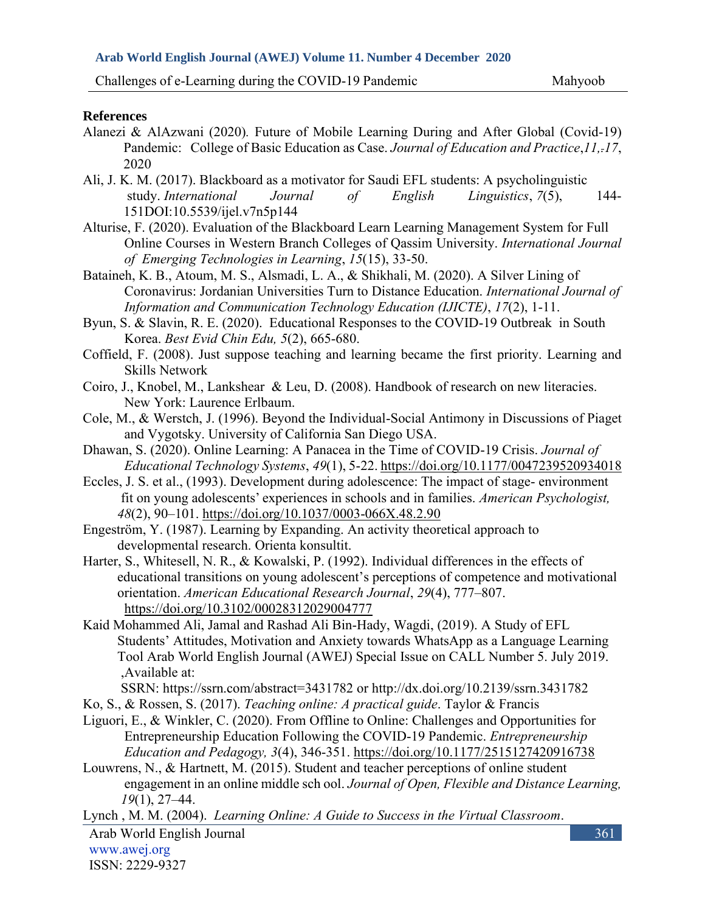### **References**

- Alanezi & AlAzwani (2020)*.* Future of Mobile Learning During and After Global (Covid-19) Pandemic: College of Basic Education as Case. *Journal of Education and Practice*,*11,.17*, 2020
- Ali, J. K. M. (2017). Blackboard as a motivator for Saudi EFL students: A psycholinguistic study. *International Journal of English Linguistics*, *7*(5), 144- 151DOI:10.5539/ijel.v7n5p144
- Alturise, F. (2020). Evaluation of the Blackboard Learn Learning Management System for Full Online Courses in Western Branch Colleges of Qassim University. *International Journal of Emerging Technologies in Learning*, *15*(15), 33-50.
- Bataineh, K. B., Atoum, M. S., Alsmadi, L. A., & Shikhali, M. (2020). A Silver Lining of Coronavirus: Jordanian Universities Turn to Distance Education. *International Journal of Information and Communication Technology Education (IJICTE)*, *17*(2), 1-11.
- Byun, S. & Slavin, R. E. (2020). Educational Responses to the COVID-19 Outbreak in South Korea. *Best Evid Chin Edu, 5*(2), 665-680.
- Coffield, F. (2008). Just suppose teaching and learning became the first priority. Learning and Skills Network
- Coiro, J., Knobel, M., Lankshear & Leu, D. (2008). Handbook of research on new literacies. New York: Laurence Erlbaum.
- Cole, M., & Werstch, J. (1996). Beyond the Individual-Social Antimony in Discussions of Piaget and Vygotsky. University of California San Diego USA.
- Dhawan, S. (2020). Online Learning: A Panacea in the Time of COVID-19 Crisis. *Journal of Educational Technology Systems*, *49*(1), 5-22[. https://doi.org/10.1177/0047239520934018](https://doi.org/10.1177%2F0047239520934018)
- Eccles, J. S. et al., (1993). Development during adolescence: The impact of stage- environment fit on young adolescents' experiences in schools and in families. *American Psychologist, 48*(2), 90–101. [https://doi.org/10.1037/0003-066X.48.2.90](https://psycnet.apa.org/doi/10.1037/0003-066X.48.2.90)
- Engeström, Y. (1987). Learning by Expanding. An activity theoretical approach to developmental research. Orienta konsultit.
- Harter, S., Whitesell, N. R., & Kowalski, P. (1992). Individual differences in the effects of educational transitions on young adolescent's perceptions of competence and motivational orientation. *American Educational Research Journal*, *29*(4), 777–807. [https://doi.org/10.3102/00028312029004777](https://doi.org/10.3102%2F00028312029004777)
- Kaid Mohammed Ali, Jamal and Rashad Ali Bin-Hady, Wagdi, (2019). A Study of EFL Students' Attitudes, Motivation and Anxiety towards WhatsApp as a Language Learning Tool Arab World English Journal (AWEJ) Special Issue on CALL Number 5. July 2019. ,Available at:

SSRN: <https://ssrn.com/abstract=3431782> or [http://dx.doi.org/10.2139/ssrn.3431782](https://dx.doi.org/10.2139/ssrn.3431782)

- Ko, S., & Rossen, S. (2017). *Teaching online: A practical guide*. Taylor & Francis
- Liguori, E., & Winkler, C. (2020). From Offline to Online: Challenges and Opportunities for Entrepreneurship Education Following the COVID-19 Pandemic. *Entrepreneurship Education and Pedagogy, 3*(4), 346-351. [https://doi.org/10.1177/2515127420916738](https://doi.org/10.1177%2F2515127420916738)
- Louwrens, N., & Hartnett, M. (2015). Student and teacher perceptions of online student engagement in an online middle sch ool. *Journal of Open, Flexible and Distance Learning, 19*(1), 27–44.

Lynch , M. M. (2004). *Learning Online: A Guide to Success in the Virtual Classroom*.

Arab World English Journal www.awej.org ISSN: 2229-9327